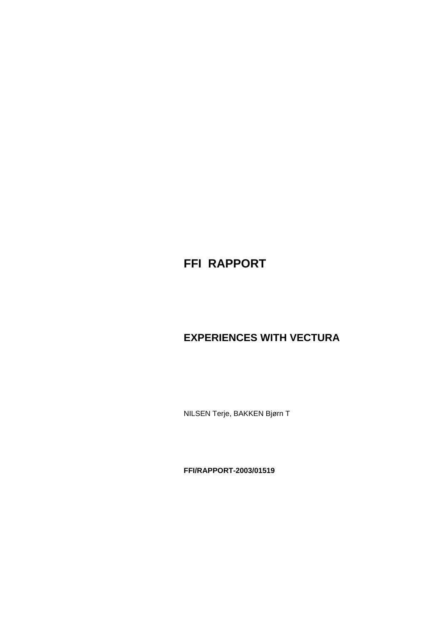# **FFI RAPPORT**

# **EXPERIENCES WITH VECTURA**

NILSEN Terje, BAKKEN Bjørn T

**FFI/RAPPORT-2003/01519**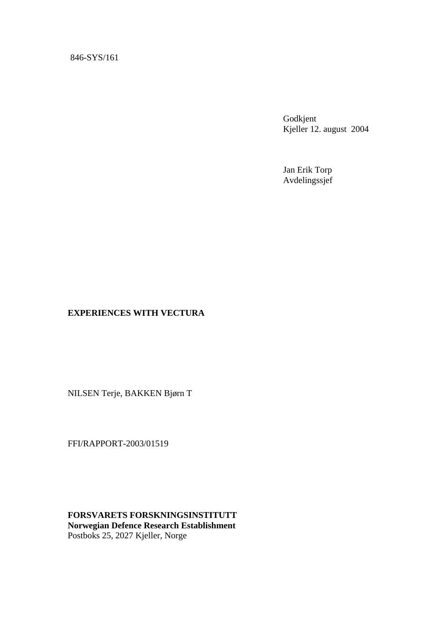#### 846-SYS/161

Godkjent Kjeller 12. august 2004

Jan Erik Torp Avdelingssjef

#### **EXPERIENCES WITH VECTURA**

NILSEN Terje, BAKKEN Bjørn T

FFI/RAPPORT-2003/01519

**FORSVARETS FORSKNINGSINSTITUTT Norwegian Defence Research Establishment**  Postboks 25, 2027 Kjeller, Norge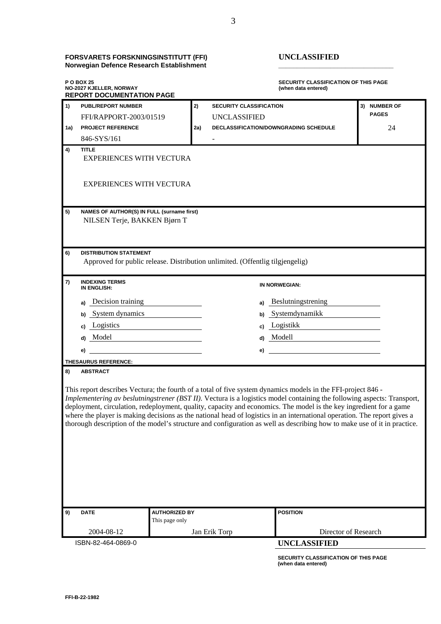| <b>FORSVARETS FORSKNINGSINSTITUTT (FFI)</b> | UNCLASSIFIED |
|---------------------------------------------|--------------|
| Norwegian Defence Research Establishment    |              |

#### **FORSVARETS FORSKNINGSINSTITUTT (FFI) UNCLASSIFIED**

**SECURITY CLASSIFICATION OF THIS PAGE NO-2027 KJELLER, NORWAY (when data entered) REPORT DOCUMENTATION PAGE 1) PUBL/REPORT NUMBER 2) SECURITY CLASSIFICATION 3) NUMBER OF**  FFI/RAPPORT-2003/01519 UNCLASSIFIED **PAGES 1a) PROJECT REFERENCE 2a) DECLASSIFICATION/DOWNGRADING SCHEDULE** 24 846-SYS/161 - **1200 4) TITLE**  EXPERIENCES WITH VECTURA EXPERIENCES WITH VECTURA **5) NAMES OF AUTHOR(S) IN FULL (surname first)**  NILSEN Terje, BAKKEN Bjørn T **6) DISTRIBUTION STATEMENT**  Approved for public release. Distribution unlimited. (Offentlig tilgjengelig) **7) INDEXING TERMS IN ENGLISH: IN NORWEGIAN: a)** Decision training **a)** Beslutningstrening **b)** System dynamics **b)** Systemdynamikk **c)** Logistics **c)** Logistikk **d)** Model **d)** Modell  **e) e) THESAURUS REFERENCE: 8) ABSTRACT**  This report describes Vectura; the fourth of a total of five system dynamics models in the FFI-project 846 - *Implementering av beslutningstrener (BST II)*. Vectura is a logistics model containing the following aspects: Transport, deployment, circulation, redeployment, quality, capacity and economics. The model is the key ingredient for a game where the player is making decisions as the national head of logistics in an international operation. The report gives a thorough description of the model's structure and configuration as well as describing how to make use of it in practice.

| 9) | <b>DATE</b>        | AUTHORIZED BY<br>This page only | <b>POSITION</b>      |  |  |  |  |
|----|--------------------|---------------------------------|----------------------|--|--|--|--|
|    | 2004-08-12         | Jan Erik Torp                   | Director of Research |  |  |  |  |
|    | ISBN-82-464-0869-0 |                                 | UNCLASSIFIED         |  |  |  |  |

**SECURITY CLASSIFICATION OF THIS PAGE (when data entered)**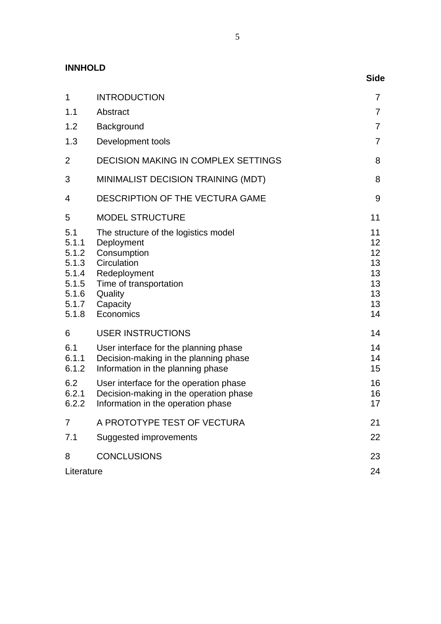**INNHOLD** 

|                                                                             |                                                                                                                                                                | <b>Side</b>                                        |
|-----------------------------------------------------------------------------|----------------------------------------------------------------------------------------------------------------------------------------------------------------|----------------------------------------------------|
| $\mathbf 1$                                                                 | <b>INTRODUCTION</b>                                                                                                                                            | 7                                                  |
| 1.1                                                                         | Abstract                                                                                                                                                       | $\overline{7}$                                     |
| 1.2                                                                         | Background                                                                                                                                                     | $\overline{7}$                                     |
| 1.3                                                                         | Development tools                                                                                                                                              | 7                                                  |
| $\overline{2}$                                                              | <b>DECISION MAKING IN COMPLEX SETTINGS</b>                                                                                                                     | 8                                                  |
| 3                                                                           | MINIMALIST DECISION TRAINING (MDT)                                                                                                                             | 8                                                  |
| 4                                                                           | DESCRIPTION OF THE VECTURA GAME                                                                                                                                | 9                                                  |
| 5                                                                           | <b>MODEL STRUCTURE</b>                                                                                                                                         | 11                                                 |
| 5.1<br>5.1.1<br>5.1.2<br>5.1.3<br>5.1.4<br>5.1.5<br>5.1.6<br>5.1.7<br>5.1.8 | The structure of the logistics model<br>Deployment<br>Consumption<br>Circulation<br>Redeployment<br>Time of transportation<br>Quality<br>Capacity<br>Economics | 11<br>12<br>12<br>13<br>13<br>13<br>13<br>13<br>14 |
| 6                                                                           | <b>USER INSTRUCTIONS</b>                                                                                                                                       | 14                                                 |
| 6.1<br>6.1.1<br>6.1.2                                                       | User interface for the planning phase<br>Decision-making in the planning phase<br>Information in the planning phase                                            | 14<br>14<br>15                                     |
| 6.2<br>6.2.1<br>6.2.2                                                       | User interface for the operation phase<br>Decision-making in the operation phase<br>Information in the operation phase                                         | 16<br>16<br>17                                     |
| 7                                                                           | A PROTOTYPE TEST OF VECTURA                                                                                                                                    | 21                                                 |
| 7.1                                                                         | Suggested improvements                                                                                                                                         | 22                                                 |
| 8                                                                           | <b>CONCLUSIONS</b>                                                                                                                                             | 23                                                 |
| Literature                                                                  |                                                                                                                                                                | 24                                                 |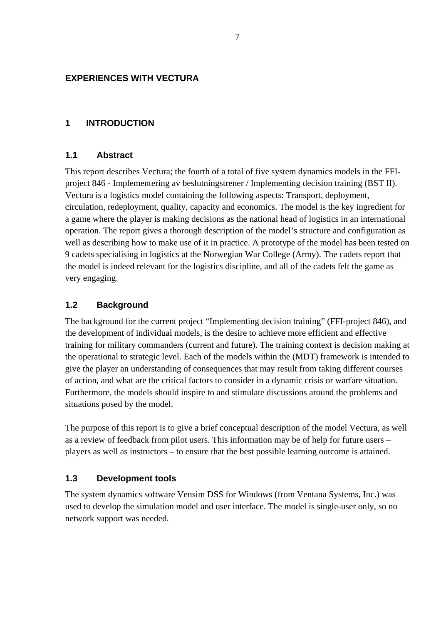## <span id="page-8-0"></span>**EXPERIENCES WITH VECTURA**

#### **1 INTRODUCTION**

#### **1.1 Abstract**

This report describes Vectura; the fourth of a total of five system dynamics models in the FFIproject 846 - Implementering av beslutningstrener / Implementing decision training (BST II). Vectura is a logistics model containing the following aspects: Transport, deployment, circulation, redeployment, quality, capacity and economics. The model is the key ingredient for a game where the player is making decisions as the national head of logistics in an international operation. The report gives a thorough description of the model's structure and configuration as well as describing how to make use of it in practice. A prototype of the model has been tested on 9 cadets specialising in logistics at the Norwegian War College (Army). The cadets report that the model is indeed relevant for the logistics discipline, and all of the cadets felt the game as very engaging.

### **1.2 Background**

The background for the current project "Implementing decision training" (FFI-project 846), and the development of individual models, is the desire to achieve more efficient and effective training for military commanders (current and future). The training context is decision making at the operational to strategic level. Each of the models within the (MDT) framework is intended to give the player an understanding of consequences that may result from taking different courses of action, and what are the critical factors to consider in a dynamic crisis or warfare situation. Furthermore, the models should inspire to and stimulate discussions around the problems and situations posed by the model.

The purpose of this report is to give a brief conceptual description of the model Vectura, as well as a review of feedback from pilot users. This information may be of help for future users – players as well as instructors – to ensure that the best possible learning outcome is attained.

#### **1.3 Development tools**

The system dynamics software Vensim DSS for Windows (from Ventana Systems, Inc.) was used to develop the simulation model and user interface. The model is single-user only, so no network support was needed.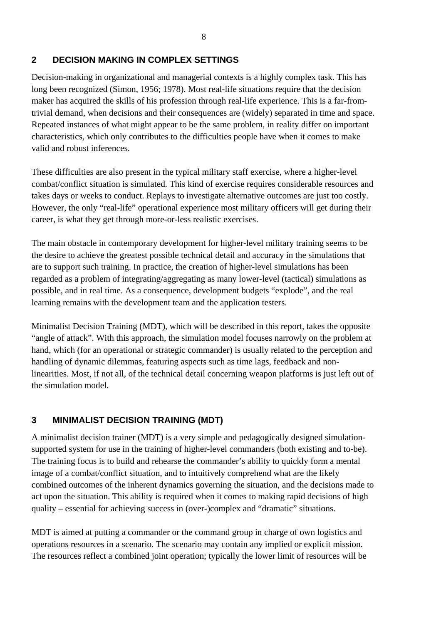# <span id="page-9-0"></span>**2 DECISION MAKING IN COMPLEX SETTINGS**

Decision-making in organizational and managerial contexts is a highly complex task. This has long been recognized (Simon, 1956; 1978). Most real-life situations require that the decision maker has acquired the skills of his profession through real-life experience. This is a far-fromtrivial demand, when decisions and their consequences are (widely) separated in time and space. Repeated instances of what might appear to be the same problem, in reality differ on important characteristics, which only contributes to the difficulties people have when it comes to make valid and robust inferences.

These difficulties are also present in the typical military staff exercise, where a higher-level combat/conflict situation is simulated. This kind of exercise requires considerable resources and takes days or weeks to conduct. Replays to investigate alternative outcomes are just too costly. However, the only "real-life" operational experience most military officers will get during their career, is what they get through more-or-less realistic exercises.

The main obstacle in contemporary development for higher-level military training seems to be the desire to achieve the greatest possible technical detail and accuracy in the simulations that are to support such training. In practice, the creation of higher-level simulations has been regarded as a problem of integrating/aggregating as many lower-level (tactical) simulations as possible, and in real time. As a consequence, development budgets "explode", and the real learning remains with the development team and the application testers.

Minimalist Decision Training (MDT), which will be described in this report, takes the opposite "angle of attack". With this approach, the simulation model focuses narrowly on the problem at hand, which (for an operational or strategic commander) is usually related to the perception and handling of dynamic dilemmas, featuring aspects such as time lags, feedback and nonlinearities. Most, if not all, of the technical detail concerning weapon platforms is just left out of the simulation model.

# **3 MINIMALIST DECISION TRAINING (MDT)**

A minimalist decision trainer (MDT) is a very simple and pedagogically designed simulationsupported system for use in the training of higher-level commanders (both existing and to-be). The training focus is to build and rehearse the commander's ability to quickly form a mental image of a combat/conflict situation, and to intuitively comprehend what are the likely combined outcomes of the inherent dynamics governing the situation, and the decisions made to act upon the situation. This ability is required when it comes to making rapid decisions of high quality – essential for achieving success in (over-)complex and "dramatic" situations.

MDT is aimed at putting a commander or the command group in charge of own logistics and operations resources in a scenario. The scenario may contain any implied or explicit mission. The resources reflect a combined joint operation; typically the lower limit of resources will be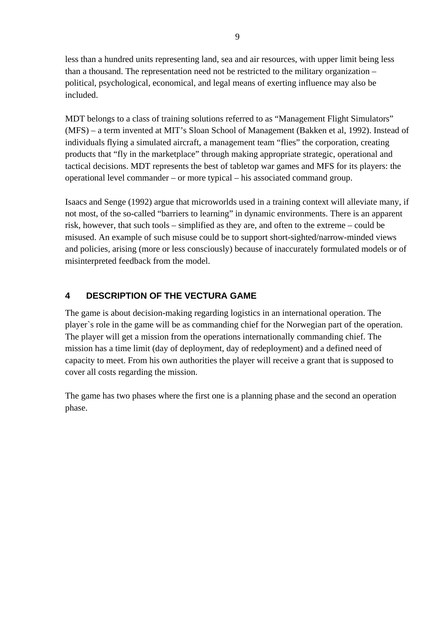<span id="page-10-0"></span>less than a hundred units representing land, sea and air resources, with upper limit being less than a thousand. The representation need not be restricted to the military organization – political, psychological, economical, and legal means of exerting influence may also be included.

MDT belongs to a class of training solutions referred to as "Management Flight Simulators" (MFS) – a term invented at MIT's Sloan School of Management (Bakken et al, 1992). Instead of individuals flying a simulated aircraft, a management team "flies" the corporation, creating products that "fly in the marketplace" through making appropriate strategic, operational and tactical decisions. MDT represents the best of tabletop war games and MFS for its players: the operational level commander – or more typical – his associated command group.

Isaacs and Senge (1992) argue that microworlds used in a training context will alleviate many, if not most, of the so-called "barriers to learning" in dynamic environments. There is an apparent risk, however, that such tools – simplified as they are, and often to the extreme – could be misused. An example of such misuse could be to support short-sighted/narrow-minded views and policies, arising (more or less consciously) because of inaccurately formulated models or of misinterpreted feedback from the model.

# **4 DESCRIPTION OF THE VECTURA GAME**

The game is about decision-making regarding logistics in an international operation. The player`s role in the game will be as commanding chief for the Norwegian part of the operation. The player will get a mission from the operations internationally commanding chief. The mission has a time limit (day of deployment, day of redeployment) and a defined need of capacity to meet. From his own authorities the player will receive a grant that is supposed to cover all costs regarding the mission.

The game has two phases where the first one is a planning phase and the second an operation phase.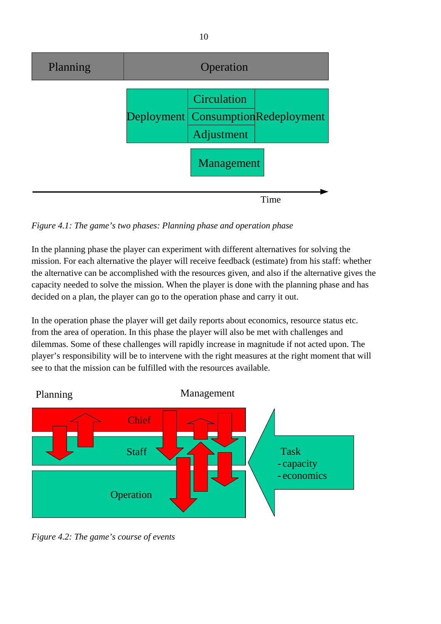

*Figure 4.1: The game's two phases: Planning phase and operation phase*

In the planning phase the player can experiment with different alternatives for solving the mission. For each alternative the player will receive feedback (estimate) from his staff: whether the alternative can be accomplished with the resources given, and also if the alternative gives the capacity needed to solve the mission. When the player is done with the planning phase and has decided on a plan, the player can go to the operation phase and carry it out.

In the operation phase the player will get daily reports about economics, resource status etc. from the area of operation. In this phase the player will also be met with challenges and dilemmas. Some of these challenges will rapidly increase in magnitude if not acted upon. The player's responsibility will be to intervene with the right measures at the right moment that will see to that the mission can be fulfilled with the resources available.



*Figure 4.2: The game's course of events*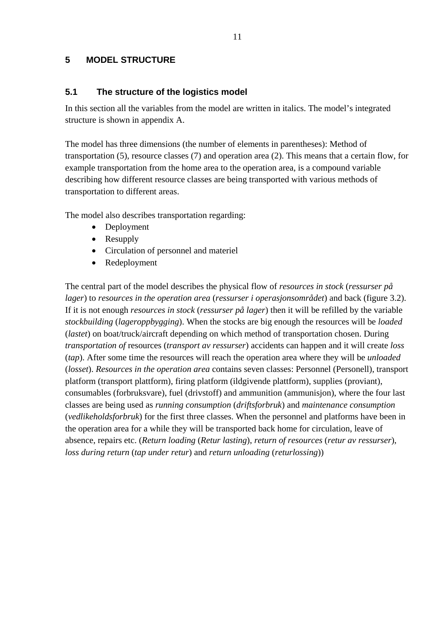### <span id="page-12-0"></span>**5 MODEL STRUCTURE**

#### **5.1 The structure of the logistics model**

In this section all the variables from the model are written in italics. The model's integrated structure is shown in appendix A.

The model has three dimensions (the number of elements in parentheses): Method of transportation (5), resource classes (7) and operation area (2). This means that a certain flow, for example transportation from the home area to the operation area, is a compound variable describing how different resource classes are being transported with various methods of transportation to different areas.

The model also describes transportation regarding:

- Deployment
- Resupply
- Circulation of personnel and materiel
- Redeployment

The central part of the model describes the physical flow of *resources in stock* (*ressurser på lager*) to *resources in the operation area* (*ressurser i operasjonsområdet*) and back (figure 3.2). If it is not enough *resources in stock* (*ressurser på lager*) then it will be refilled by the variable *stockbuilding* (*lageroppbygging*). When the stocks are big enough the resources will be *loaded*  (*lastet*) on boat/truck/aircraft depending on which method of transportation chosen. During *transportation of* resources (*transport av ressurser*) accidents can happen and it will create *loss* (*tap*). After some time the resources will reach the operation area where they will be *unloaded* (*losset*). *Resources in the operation area* contains seven classes: Personnel (Personell), transport platform (transport plattform), firing platform (ildgivende plattform), supplies (proviant), consumables (forbruksvare), fuel (drivstoff) and ammunition (ammunisjon), where the four last classes are being used as *running consumption* (*driftsforbruk*) and *maintenance consumption* (*vedlikeholdsforbruk*) for the first three classes. When the personnel and platforms have been in the operation area for a while they will be transported back home for circulation, leave of absence, repairs etc. (*Return loading* (*Retur lasting*), *return of resources* (*retur av ressurser*), *loss during return* (*tap under retur*) and *return unloading* (*returlossing*))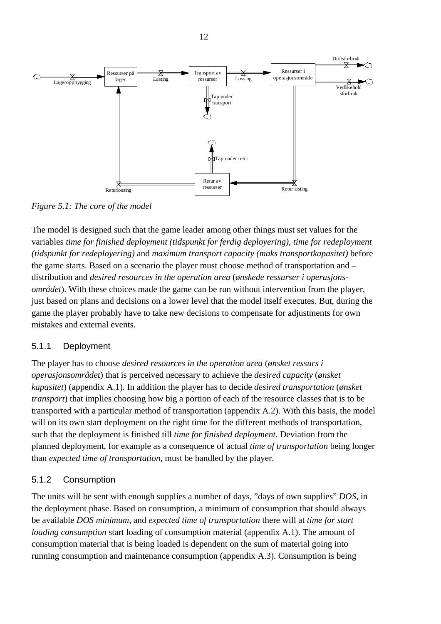<span id="page-13-0"></span>

*Figure 5.1: The core of the model* 

The model is designed such that the game leader among other things must set values for the variables *time for finished deployment (tidspunkt for ferdig deployering)*, *time for redeployment (tidspunkt for redeployering)* and *maximum transport capacity (maks transportkapasitet)* before the game starts. Based on a scenario the player must choose method of transportation and – distribution and *desired resources in the operation area* (*ønskede ressurser i operasjonsområdet*). With these choices made the game can be run without intervention from the player, just based on plans and decisions on a lower level that the model itself executes. But, during the game the player probably have to take new decisions to compensate for adjustments for own mistakes and external events.

# 5.1.1 Deployment

The player has to choose *desired resources in the operation area* (*ønsket ressurs i operasjonsområdet*) that is perceived necessary to achieve the *desired capacity* (*ønsket kapasitet*) (appendix A.1). In addition the player has to decide *desired transportation* (*ønsket transport*) that implies choosing how big a portion of each of the resource classes that is to be transported with a particular method of transportation (appendix A.2). With this basis, the model will on its own start deployment on the right time for the different methods of transportation, such that the deployment is finished till *time for finished deployment.* Deviation from the planned deployment, for example as a consequence of actual *time of transportation* being longer than *expected time of transportation*, must be handled by the player.

# 5.1.2 Consumption

The units will be sent with enough supplies a number of days, "days of own supplies" *DOS*, in the deployment phase. Based on consumption, a minimum of consumption that should always be available *DOS minimum*, and *expected time of transportation* there will at *time for start loading consumption* start loading of consumption material (appendix A.1). The amount of consumption material that is being loaded is dependent on the sum of material going into running consumption and maintenance consumption (appendix A.3). Consumption is being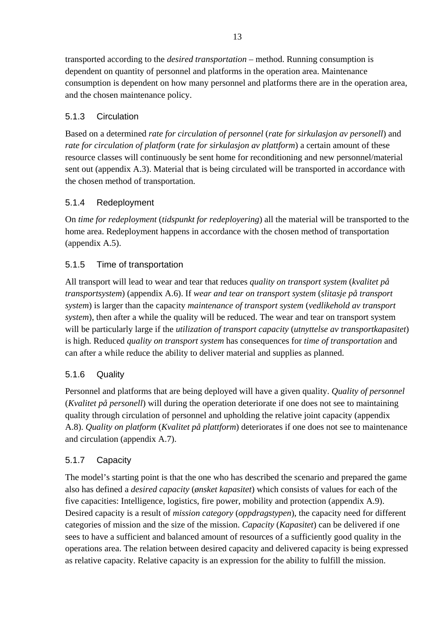<span id="page-14-0"></span>transported according to the *desired transportation* – method. Running consumption is dependent on quantity of personnel and platforms in the operation area. Maintenance consumption is dependent on how many personnel and platforms there are in the operation area, and the chosen maintenance policy.

# 5.1.3 Circulation

Based on a determined *rate for circulation of personnel* (*rate for sirkulasjon av personell*) and *rate for circulation of platform* (*rate for sirkulasjon av plattform*) a certain amount of these resource classes will continuously be sent home for reconditioning and new personnel/material sent out (appendix A.3). Material that is being circulated will be transported in accordance with the chosen method of transportation.

# 5.1.4 Redeployment

On *time for redeployment* (*tidspunkt for redeployering*) all the material will be transported to the home area. Redeployment happens in accordance with the chosen method of transportation (appendix A.5).

# 5.1.5 Time of transportation

All transport will lead to wear and tear that reduces *quality on transport system* (*kvalitet på transportsystem*) (appendix A.6). If *wear and tear on transport system* (*slitasje på transport system*) is larger than the capacity *maintenance of transport system* (*vedlikehold av transport system*), then after a while the quality will be reduced. The wear and tear on transport system will be particularly large if the *utilization of transport capacity* (*utnyttelse av transportkapasitet*) is high. Reduced *quality on transport system* has consequences for *time of transportation* and can after a while reduce the ability to deliver material and supplies as planned.

# 5.1.6 Quality

Personnel and platforms that are being deployed will have a given quality. *Quality of personnel* (*Kvalitet på personell*) will during the operation deteriorate if one does not see to maintaining quality through circulation of personnel and upholding the relative joint capacity (appendix A.8). *Quality on platform* (*Kvalitet på plattform*) deteriorates if one does not see to maintenance and circulation (appendix A.7).

# 5.1.7 Capacity

The model's starting point is that the one who has described the scenario and prepared the game also has defined a *desired capacity* (*ønsket kapasitet*) which consists of values for each of the five capacities: Intelligence, logistics, fire power, mobility and protection (appendix A.9). Desired capacity is a result of *mission category* (*oppdragstypen*), the capacity need for different categories of mission and the size of the mission. *Capacity* (*Kapasitet*) can be delivered if one sees to have a sufficient and balanced amount of resources of a sufficiently good quality in the operations area. The relation between desired capacity and delivered capacity is being expressed as relative capacity. Relative capacity is an expression for the ability to fulfill the mission.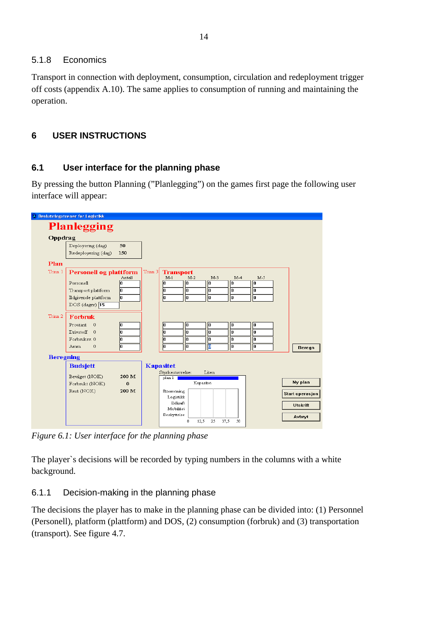# <span id="page-15-0"></span>5.1.8 Economics

Transport in connection with deployment, consumption, circulation and redeployment trigger off costs (appendix A.10). The same applies to consumption of running and maintaining the operation.

# **6 USER INSTRUCTIONS**

# **6.1 User interface for the planning phase**

By pressing the button Planning ("Planlegging") on the games first page the following user interface will appear:

|                  | <b>Planlegging</b>            |          |         |                                    |           |       |       |                        |
|------------------|-------------------------------|----------|---------|------------------------------------|-----------|-------|-------|------------------------|
| Oppdrag          |                               |          |         |                                    |           |       |       |                        |
|                  | Deployering (dag)             | 50       |         |                                    |           |       |       |                        |
|                  | Redeployering (dag)           | 150      |         |                                    |           |       |       |                        |
| Plan             |                               |          |         |                                    |           |       |       |                        |
| Trinn 1          | <b>Personell og plattform</b> | Antall   | Trinn 3 | <b>Transport</b><br>$M-2$<br>$M-1$ | $M-3$     | $M-4$ | $M-5$ |                        |
|                  | Personell                     | 'n       |         | 'n<br>'n                           | ١o        | ln    | ln.   |                        |
|                  | Transport plattform           | o        |         | lo<br>l0.                          | ١o        | lo.   | lo.   |                        |
|                  | Ildgivende plattform          | lo       |         | б<br>$\overline{0}$                | lo        | o     | lo    |                        |
|                  | $DOS$ (dager) $\overline{15}$ |          |         |                                    |           |       |       |                        |
| Trinn 2          | Forbruk                       |          |         |                                    |           |       |       |                        |
|                  | Proviant<br>$\theta$          | ١o       |         | lo<br>١o                           | ١o        | ۱o    | I٥    |                        |
|                  | Drivstoff<br>$\Omega$         | ١o       |         | lo<br>١o                           | ۱o        | ۱o    | o     |                        |
|                  | Forbruksy, 0                  | ln.      |         | ln<br>ln.                          | ln.       | ln.   | ln.   |                        |
|                  | Amm.<br>$\theta$              | I٥       |         | lo<br>$\sqrt{a}$                   | O         | I٥    | o     | <b>Beregn</b>          |
| <b>Beregning</b> |                               |          |         |                                    |           |       |       |                        |
|                  | <b>Budsjett</b>               |          |         | <b>Kapasitet</b>                   |           |       |       |                        |
|                  | Bevilget (NOK)                | 200 M    |         | Styrkestørrelse:                   | Liten     |       |       |                        |
|                  | Forbrukt (NOK)                | $\bf{0}$ |         | plan 1                             | Kapasitet |       |       | Ny plan                |
|                  | Rest (NOK)                    | 200 M    |         | Etterretning                       |           |       |       |                        |
|                  |                               |          |         | Logistikk                          |           |       |       | <b>Start operasjon</b> |
|                  |                               |          |         | Ildkraft.                          |           |       |       | <b>Utskrift</b>        |
|                  |                               |          |         |                                    |           |       |       |                        |
|                  |                               |          |         | Mobilitet<br>Beskyttelse           |           |       |       |                        |

*Figure 6.1: User interface for the planning phase* 

The player`s decisions will be recorded by typing numbers in the columns with a white background.

# 6.1.1 Decision-making in the planning phase

The decisions the player has to make in the planning phase can be divided into: (1) Personnel (Personell), platform (plattform) and DOS, (2) consumption (forbruk) and (3) transportation (transport). See figure 4.7.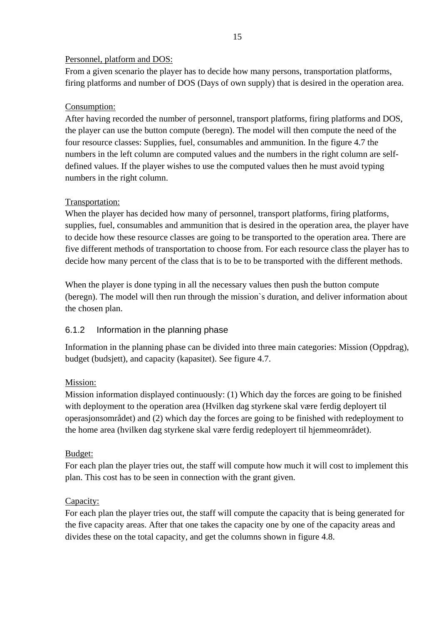#### <span id="page-16-0"></span>Personnel, platform and DOS:

From a given scenario the player has to decide how many persons, transportation platforms, firing platforms and number of DOS (Days of own supply) that is desired in the operation area.

# Consumption:

After having recorded the number of personnel, transport platforms, firing platforms and DOS, the player can use the button compute (beregn). The model will then compute the need of the four resource classes: Supplies, fuel, consumables and ammunition. In the figure 4.7 the numbers in the left column are computed values and the numbers in the right column are selfdefined values. If the player wishes to use the computed values then he must avoid typing numbers in the right column.

# Transportation:

When the player has decided how many of personnel, transport platforms, firing platforms, supplies, fuel, consumables and ammunition that is desired in the operation area, the player have to decide how these resource classes are going to be transported to the operation area. There are five different methods of transportation to choose from. For each resource class the player has to decide how many percent of the class that is to be to be transported with the different methods.

When the player is done typing in all the necessary values then push the button compute (beregn). The model will then run through the mission`s duration, and deliver information about the chosen plan.

# 6.1.2 Information in the planning phase

Information in the planning phase can be divided into three main categories: Mission (Oppdrag), budget (budsjett), and capacity (kapasitet). See figure 4.7.

# Mission:

Mission information displayed continuously: (1) Which day the forces are going to be finished with deployment to the operation area (Hvilken dag styrkene skal være ferdig deployert til operasjonsområdet) and (2) which day the forces are going to be finished with redeployment to the home area (hvilken dag styrkene skal være ferdig redeployert til hjemmeområdet).

# Budget:

For each plan the player tries out, the staff will compute how much it will cost to implement this plan. This cost has to be seen in connection with the grant given.

# Capacity:

For each plan the player tries out, the staff will compute the capacity that is being generated for the five capacity areas. After that one takes the capacity one by one of the capacity areas and divides these on the total capacity, and get the columns shown in figure 4.8.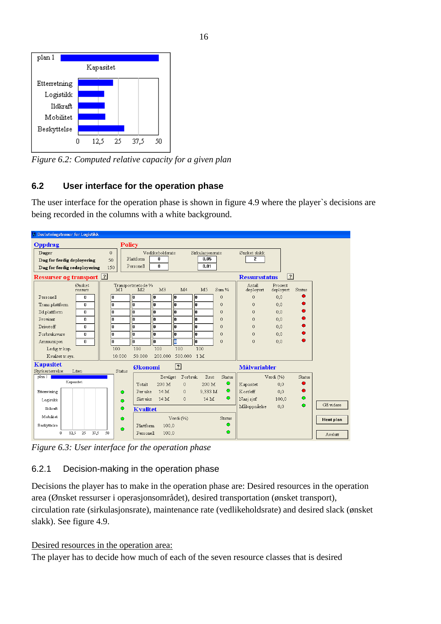<span id="page-17-0"></span>

*Figure 6.2: Computed relative capacity for a given plan* 

# **6.2 User interface for the operation phase**

The user interface for the operation phase is shown in figure 4.9 where the player`s decisions are being recorded in the columns with a white background.

| <b>A</b> Beslutningstrener for Logistikk      |               |                                     |                  |                |                  |             |                      |                      |        |           |
|-----------------------------------------------|---------------|-------------------------------------|------------------|----------------|------------------|-------------|----------------------|----------------------|--------|-----------|
| Oppdrag                                       | <b>Policy</b> |                                     |                  |                |                  |             |                      |                      |        |           |
| Dager                                         | $\Omega$      |                                     | Vedlikeholdsrate |                | Sirkulasjonsrate |             | Ønsket slakk         |                      |        |           |
| Dag for ferdig deployering                    | 50            | Plattform                           | n                |                | 0.05             |             | 2                    |                      |        |           |
| Dag for ferdig redeployering                  | 150           | Personell                           | 0                |                | 0.01             |             |                      |                      |        |           |
| <b>Ressurser og transport</b> 2               |               |                                     |                  |                |                  |             | <b>Ressursstatus</b> | ?                    |        |           |
| Ønsket<br>ressurs                             | M1            | Transportmetode %<br>M <sub>2</sub> | M <sub>3</sub>   | M <sub>4</sub> | M <sub>5</sub>   | Sum %       | Antall<br>deployert  | Prosent<br>deployert | Status |           |
| Personell<br>0                                | 0             | lo.                                 | lo.              | I٥             | 0                | $\mathbf 0$ | $\mathbf 0$          | 0,0                  |        |           |
| Trans.plattform<br>0                          | l0            | I٥                                  | I۵               | I۵             | I۵               | 0           | $\mathbf{0}$         | 0.0                  |        |           |
| Ild.plattform<br>$\mathbf{u}$                 | lo.           | I٥                                  | ln               | In             | lπ               | $\Omega$    | $\theta$             | 0,0                  |        |           |
| Proviant<br>0                                 | lo.           | lo.                                 | I٥               | I۵             | I٥               | 0           | $\theta$             | 0.0                  |        |           |
| Drivstoff<br>n.                               | lo.           | I٥                                  | lo.              | I٥             | o                | 0           | 0                    | 0.0                  |        |           |
| Forbruksvare<br>0                             | lo.           | I٥                                  | I٥               | I٥             | I٥               | $\Omega$    | $\theta$             | 0.0                  |        |           |
| Ammunisjon<br>0                               | o             | lo                                  | lo               | o              | 0                | $\Omega$    | $\mathbf 0$          | 0,0                  |        |           |
| Ledig tr.kap.                                 | 100           | 100                                 | 100              | 100            | 100              |             |                      |                      |        |           |
| Kvalitet tr.svs.                              | 10.000        | 50.000                              | 200.000          | 500.000        | 1 <sub>M</sub>   |             |                      |                      |        |           |
| <b>Kapasitet</b><br>Styrkestørrelse:<br>Liten | Status        | Økonomi                             |                  | $\boxed{?}$    |                  |             | <b>Målvariabler</b>  |                      |        |           |
| plan 1                                        |               |                                     | Bevilget         | Forbruk        | Rest             | Status      |                      | Verdi (%)            | Status |           |
| Kapasitet                                     |               | Totalt                              | 200 M            | $\mathbf{0}$   | 200 M            | ۰           | Kapasitet            | 0.0                  |        |           |
| Etterretning                                  | ۰             | Per uke                             | 14 M             | $\mathbf{0}$   | 9.333 M          | ۰           | Kost/eff             | 0.0                  |        |           |
| Logistikk                                     | $\bullet$     | Sist uke                            | 14 M             | $\mathbf{0}$   | 14 M             | $\bullet$   | Nasj sjef            | 100,0                | ۰      |           |
| Ildkraft                                      | $\bullet$     | <b>Kvalitet</b>                     |                  |                |                  |             | Måloppnåelse         | 0,0                  | o      | Gå videre |
| Mobilitet                                     | $\bullet$     |                                     |                  | Verdi (%)      |                  | Status      |                      |                      |        | Hent plan |
| Beskyttelse                                   | $\bullet$     | Plattform                           | 100.0            |                |                  | ۰           |                      |                      |        |           |
| 37.5<br>0<br>12,5<br>25                       | 50            | Personell                           | 100.0            |                |                  | $\bullet$   |                      |                      |        | Avslutt   |

*Figure 6.3: User interface for the operation phase* 

# 6.2.1 Decision-making in the operation phase

Decisions the player has to make in the operation phase are: Desired resources in the operation area (Ønsket ressurser i operasjonsområdet), desired transportation (ønsket transport), circulation rate (sirkulasjonsrate), maintenance rate (vedlikeholdsrate) and desired slack (ønsket slakk). See figure 4.9.

Desired resources in the operation area:

The player has to decide how much of each of the seven resource classes that is desired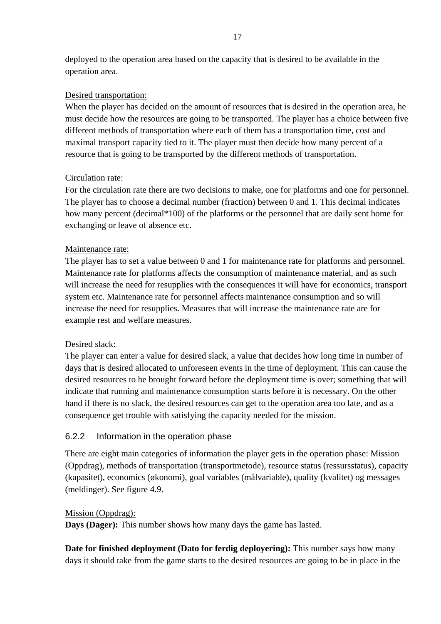<span id="page-18-0"></span>deployed to the operation area based on the capacity that is desired to be available in the operation area.

#### Desired transportation:

When the player has decided on the amount of resources that is desired in the operation area, he must decide how the resources are going to be transported. The player has a choice between five different methods of transportation where each of them has a transportation time, cost and maximal transport capacity tied to it. The player must then decide how many percent of a resource that is going to be transported by the different methods of transportation.

### Circulation rate:

For the circulation rate there are two decisions to make, one for platforms and one for personnel. The player has to choose a decimal number (fraction) between 0 and 1. This decimal indicates how many percent (decimal\*100) of the platforms or the personnel that are daily sent home for exchanging or leave of absence etc.

### Maintenance rate:

The player has to set a value between 0 and 1 for maintenance rate for platforms and personnel. Maintenance rate for platforms affects the consumption of maintenance material, and as such will increase the need for resupplies with the consequences it will have for economics, transport system etc. Maintenance rate for personnel affects maintenance consumption and so will increase the need for resupplies. Measures that will increase the maintenance rate are for example rest and welfare measures.

#### Desired slack:

The player can enter a value for desired slack, a value that decides how long time in number of days that is desired allocated to unforeseen events in the time of deployment. This can cause the desired resources to be brought forward before the deployment time is over; something that will indicate that running and maintenance consumption starts before it is necessary. On the other hand if there is no slack, the desired resources can get to the operation area too late, and as a consequence get trouble with satisfying the capacity needed for the mission.

# 6.2.2 Information in the operation phase

There are eight main categories of information the player gets in the operation phase: Mission (Oppdrag), methods of transportation (transportmetode), resource status (ressursstatus), capacity (kapasitet), economics (økonomi), goal variables (målvariable), quality (kvalitet) og messages (meldinger). See figure 4.9.

#### Mission (Oppdrag):

**Days (Dager):** This number shows how many days the game has lasted.

**Date for finished deployment (Dato for ferdig deployering):** This number says how many days it should take from the game starts to the desired resources are going to be in place in the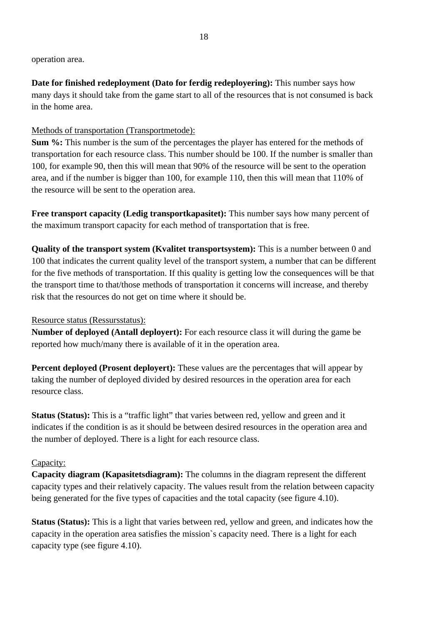operation area.

**Date for finished redeployment (Dato for ferdig redeployering):** This number says how many days it should take from the game start to all of the resources that is not consumed is back in the home area.

#### Methods of transportation (Transportmetode):

**Sum %:** This number is the sum of the percentages the player has entered for the methods of transportation for each resource class. This number should be 100. If the number is smaller than 100, for example 90, then this will mean that 90% of the resource will be sent to the operation area, and if the number is bigger than 100, for example 110, then this will mean that 110% of the resource will be sent to the operation area.

**Free transport capacity (Ledig transportkapasitet):** This number says how many percent of the maximum transport capacity for each method of transportation that is free.

**Quality of the transport system (Kvalitet transportsystem):** This is a number between 0 and 100 that indicates the current quality level of the transport system, a number that can be different for the five methods of transportation. If this quality is getting low the consequences will be that the transport time to that/those methods of transportation it concerns will increase, and thereby risk that the resources do not get on time where it should be.

#### Resource status (Ressursstatus):

**Number of deployed (Antall deployert):** For each resource class it will during the game be reported how much/many there is available of it in the operation area.

**Percent deployed (Prosent deployert):** These values are the percentages that will appear by taking the number of deployed divided by desired resources in the operation area for each resource class.

**Status (Status):** This is a "traffic light" that varies between red, yellow and green and it indicates if the condition is as it should be between desired resources in the operation area and the number of deployed. There is a light for each resource class.

#### Capacity:

**Capacity diagram (Kapasitetsdiagram):** The columns in the diagram represent the different capacity types and their relatively capacity. The values result from the relation between capacity being generated for the five types of capacities and the total capacity (see figure 4.10).

**Status (Status):** This is a light that varies between red, yellow and green, and indicates how the capacity in the operation area satisfies the mission`s capacity need. There is a light for each capacity type (see figure 4.10).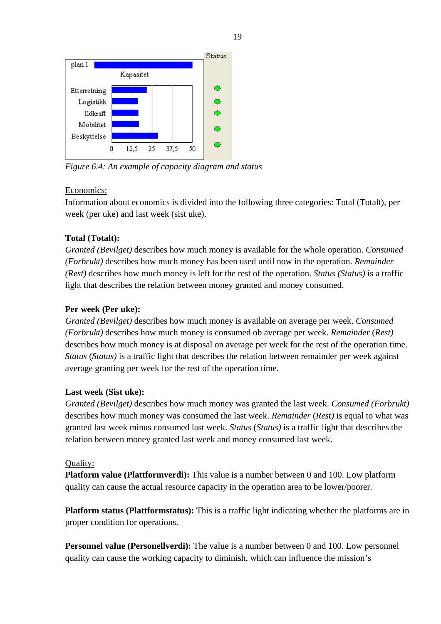

*Figure 6.4: An example of capacity diagram and status* 

#### Economics:

Information about economics is divided into the following three categories: Total (Totalt), per week (per uke) and last week (sist uke).

### **Total (Totalt):**

*Granted (Bevilget)* describes how much money is available for the whole operation. *Consumed (Forbrukt)* describes how much money has been used until now in the operation. *Remainder (Rest)* describes how much money is left for the rest of the operation. *Status (Status)* is a traffic light that describes the relation between money granted and money consumed.

#### **Per week (Per uke):**

*Granted (Bevilget)* describes how much money is available on average per week. *Consumed (Forbrukt)* describes how much money is consumed ob average per week. *Remainder* (*Rest)* describes how much money is at disposal on average per week for the rest of the operation time. *Status* (*Status)* is a traffic light that describes the relation between remainder per week against average granting per week for the rest of the operation time.

#### **Last week (Sist uke):**

*Granted (Bevilget)* describes how much money was granted the last week. *Consumed (Forbrukt)* describes how much money was consumed the last week. *Remainder* (*Rest)* is equal to what was granted last week minus consumed last week. *Status* (*Status)* is a traffic light that describes the relation between money granted last week and money consumed last week.

#### Quality:

**Platform value (Plattformverdi):** This value is a number between 0 and 100. Low platform quality can cause the actual resource capacity in the operation area to be lower/poorer.

**Platform status (Plattformstatus):** This is a traffic light indicating whether the platforms are in proper condition for operations.

**Personnel value (Personellverdi):** The value is a number between 0 and 100. Low personnel quality can cause the working capacity to diminish, which can influence the mission's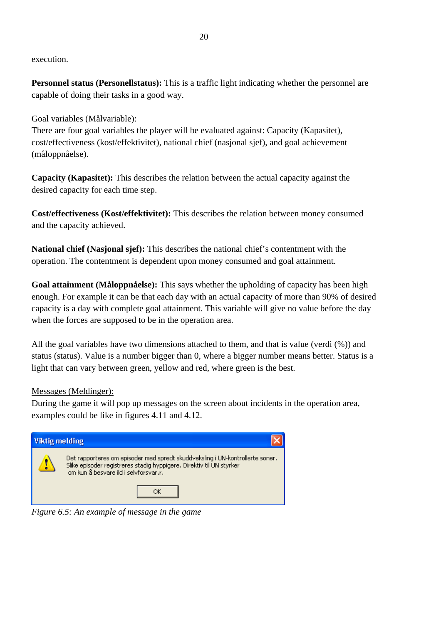execution.

**Personnel status (Personellstatus):** This is a traffic light indicating whether the personnel are capable of doing their tasks in a good way.

#### Goal variables (Målvariable):

There are four goal variables the player will be evaluated against: Capacity (Kapasitet), cost/effectiveness (kost/effektivitet), national chief (nasjonal sjef), and goal achievement (måloppnåelse).

**Capacity (Kapasitet):** This describes the relation between the actual capacity against the desired capacity for each time step.

**Cost/effectiveness (Kost/effektivitet):** This describes the relation between money consumed and the capacity achieved.

**National chief (Nasjonal sjef):** This describes the national chief's contentment with the operation. The contentment is dependent upon money consumed and goal attainment.

**Goal attainment (Måloppnåelse):** This says whether the upholding of capacity has been high enough. For example it can be that each day with an actual capacity of more than 90% of desired capacity is a day with complete goal attainment. This variable will give no value before the day when the forces are supposed to be in the operation area.

All the goal variables have two dimensions attached to them, and that is value (verdi (%)) and status (status). Value is a number bigger than 0, where a bigger number means better. Status is a light that can vary between green, yellow and red, where green is the best.

#### Messages (Meldinger):

During the game it will pop up messages on the screen about incidents in the operation area, examples could be like in figures 4.11 and 4.12.



*Figure 6.5: An example of message in the game*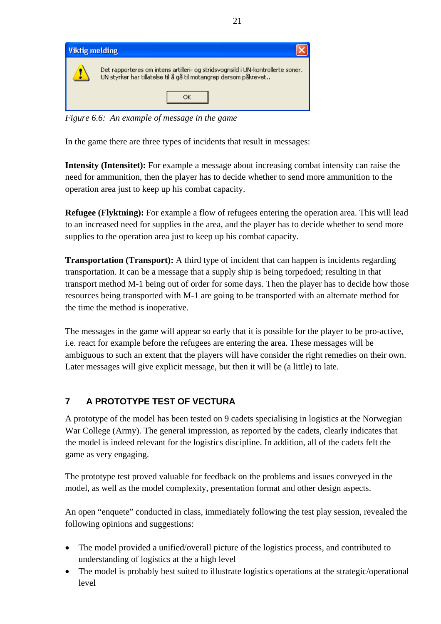<span id="page-22-0"></span>

*Figure 6.6: An example of message in the game* 

In the game there are three types of incidents that result in messages:

**Intensity (Intensitet):** For example a message about increasing combat intensity can raise the need for ammunition, then the player has to decide whether to send more ammunition to the operation area just to keep up his combat capacity.

**Refugee (Flyktning):** For example a flow of refugees entering the operation area. This will lead to an increased need for supplies in the area, and the player has to decide whether to send more supplies to the operation area just to keep up his combat capacity.

**Transportation (Transport):** A third type of incident that can happen is incidents regarding transportation. It can be a message that a supply ship is being torpedoed; resulting in that transport method M-1 being out of order for some days. Then the player has to decide how those resources being transported with M-1 are going to be transported with an alternate method for the time the method is inoperative.

The messages in the game will appear so early that it is possible for the player to be pro-active, i.e. react for example before the refugees are entering the area. These messages will be ambiguous to such an extent that the players will have consider the right remedies on their own. Later messages will give explicit message, but then it will be (a little) to late.

# **7 A PROTOTYPE TEST OF VECTURA**

A prototype of the model has been tested on 9 cadets specialising in logistics at the Norwegian War College (Army). The general impression, as reported by the cadets, clearly indicates that the model is indeed relevant for the logistics discipline. In addition, all of the cadets felt the game as very engaging.

The prototype test proved valuable for feedback on the problems and issues conveyed in the model, as well as the model complexity, presentation format and other design aspects.

An open "enquete" conducted in class, immediately following the test play session, revealed the following opinions and suggestions:

- The model provided a unified/overall picture of the logistics process, and contributed to understanding of logistics at the a high level
- The model is probably best suited to illustrate logistics operations at the strategic/operational level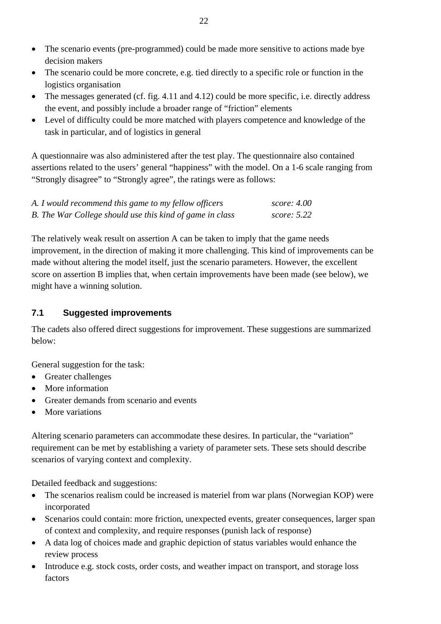- <span id="page-23-0"></span>• The scenario events (pre-programmed) could be made more sensitive to actions made bye decision makers
- The scenario could be more concrete, e.g. tied directly to a specific role or function in the logistics organisation
- The messages generated (cf. fig. 4.11 and 4.12) could be more specific, i.e. directly address the event, and possibly include a broader range of "friction" elements
- Level of difficulty could be more matched with players competence and knowledge of the task in particular, and of logistics in general

A questionnaire was also administered after the test play. The questionnaire also contained assertions related to the users' general "happiness" with the model. On a 1-6 scale ranging from "Strongly disagree" to "Strongly agree", the ratings were as follows:

| A. I would recommend this game to my fellow officers     | score: 4.00        |
|----------------------------------------------------------|--------------------|
| B. The War College should use this kind of game in class | <i>score:</i> 5.22 |

The relatively weak result on assertion A can be taken to imply that the game needs improvement, in the direction of making it more challenging. This kind of improvements can be made without altering the model itself, just the scenario parameters. However, the excellent score on assertion B implies that, when certain improvements have been made (see below), we might have a winning solution.

# **7.1 Suggested improvements**

The cadets also offered direct suggestions for improvement. These suggestions are summarized below:

General suggestion for the task:

- Greater challenges
- More information
- Greater demands from scenario and events
- More variations

Altering scenario parameters can accommodate these desires. In particular, the "variation" requirement can be met by establishing a variety of parameter sets. These sets should describe scenarios of varying context and complexity.

Detailed feedback and suggestions:

- The scenarios realism could be increased is materiel from war plans (Norwegian KOP) were incorporated
- Scenarios could contain: more friction, unexpected events, greater consequences, larger span of context and complexity, and require responses (punish lack of response)
- A data log of choices made and graphic depiction of status variables would enhance the review process
- Introduce e.g. stock costs, order costs, and weather impact on transport, and storage loss factors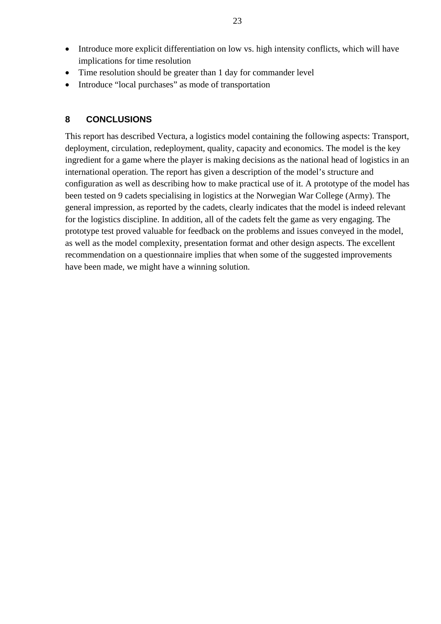- <span id="page-24-0"></span>• Introduce more explicit differentiation on low vs. high intensity conflicts, which will have implications for time resolution
- Time resolution should be greater than 1 day for commander level
- Introduce "local purchases" as mode of transportation

#### **8 CONCLUSIONS**

This report has described Vectura, a logistics model containing the following aspects: Transport, deployment, circulation, redeployment, quality, capacity and economics. The model is the key ingredient for a game where the player is making decisions as the national head of logistics in an international operation. The report has given a description of the model's structure and configuration as well as describing how to make practical use of it. A prototype of the model has been tested on 9 cadets specialising in logistics at the Norwegian War College (Army). The general impression, as reported by the cadets, clearly indicates that the model is indeed relevant for the logistics discipline. In addition, all of the cadets felt the game as very engaging. The prototype test proved valuable for feedback on the problems and issues conveyed in the model, as well as the model complexity, presentation format and other design aspects. The excellent recommendation on a questionnaire implies that when some of the suggested improvements have been made, we might have a winning solution.